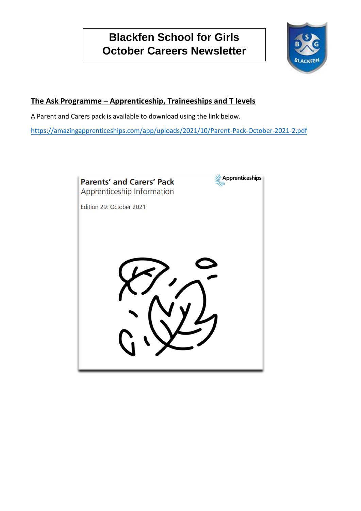# **Blackfen School for Girls October Careers Newsletter**



## **The Ask Programme – Apprenticeship, Traineeships and T levels**

A Parent and Carers pack is available to download using the link below.

<https://amazingapprenticeships.com/app/uploads/2021/10/Parent-Pack-October-2021-2.pdf>

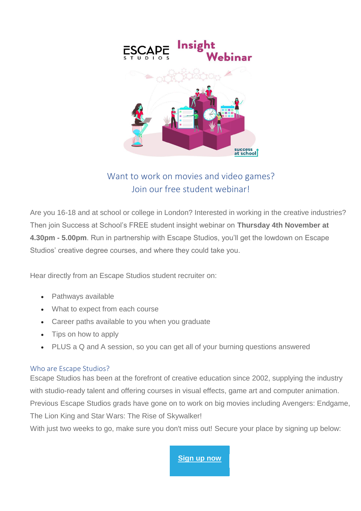

# Want to work on movies and video games? Join our free student webinar!

Are you 16-18 and at school or college in London? Interested in working in the creative industries? Then join Success at School's FREE student insight webinar on **Thursday 4th November at 4.30pm - 5.00pm**. Run in partnership with Escape Studios, you'll get the lowdown on Escape Studios' creative degree courses, and where they could take you.

Hear directly from an Escape Studios student recruiter on:

- Pathways available
- What to expect from each course
- Career paths available to you when you graduate
- Tips on how to apply
- PLUS a Q and A session, so you can get all of your burning questions answered

#### Who are Escape Studios?

Escape Studios has been at the forefront of creative education since 2002, supplying the industry with studio-ready talent and offering courses in visual effects, game art and computer animation. Previous Escape Studios grads have gone on to work on big movies including Avengers: Endgame, The Lion King and Star Wars: The Rise of Skywalker!

With just two weeks to go, make sure you don't miss out! Secure your place by signing up below:

**[Sign up now](https://successatschool.us3.list-manage.com/track/click?u=2c038531b25876a2c7c9cf8b1&id=a56c1072b9&e=3a91abdc96)**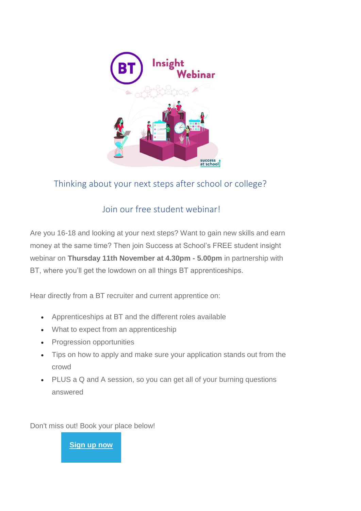

# Thinking about your next steps after school or college?

# Join our free student webinar!

Are you 16-18 and looking at your next steps? Want to gain new skills and earn money at the same time? Then join Success at School's FREE student insight webinar on **Thursday 11th November at 4.30pm - 5.00pm** in partnership with BT, where you'll get the lowdown on all things BT apprenticeships.

Hear directly from a BT recruiter and current apprentice on:

- Apprenticeships at BT and the different roles available
- What to expect from an apprenticeship
- Progression opportunities
- Tips on how to apply and make sure your application stands out from the crowd
- PLUS a Q and A session, so you can get all of your burning questions answered

Don't miss out! Book your place below!

**[Sign up now](https://successatschool.us3.list-manage.com/track/click?u=2c038531b25876a2c7c9cf8b1&id=2e9ba87628&e=3a91abdc96)**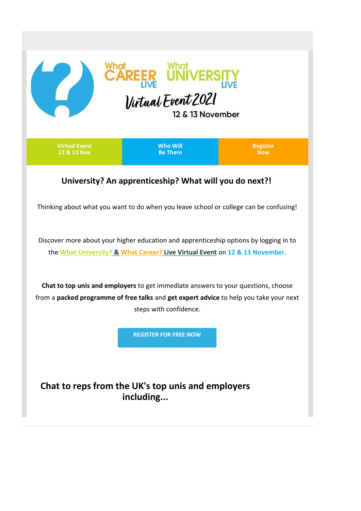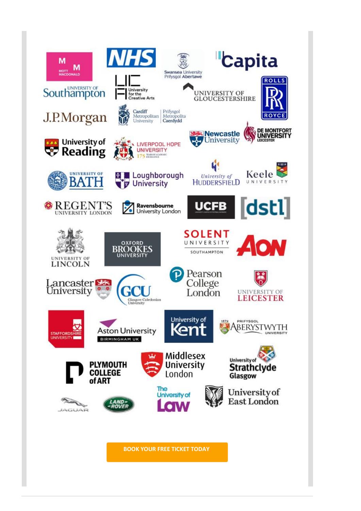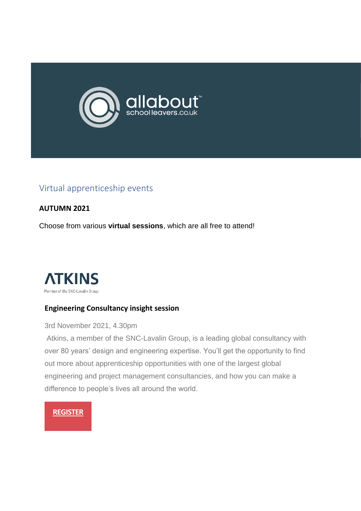

# Virtual apprenticeship events

#### **AUTUMN 2021**

Choose from various **virtual sessions**, which are all free to attend!



#### **Engineering Consultancy insight session**

3rd November 2021, 4.30pm

Atkins, a member of the SNC-Lavalin Group, is a leading global consultancy with over 80 years' design and engineering expertise. You'll get the opportunity to find out more about apprenticeship opportunities with one of the largest global engineering and project management consultancies, and how you can make a difference to people's lives all around the world.

#### **[REGISTER](https://allaboutschoolleavers.us1.list-manage.com/track/click?u=469349e1d4a8f5b2af98ca7f8&id=0b33dbd19d&e=7fe6bcd068)**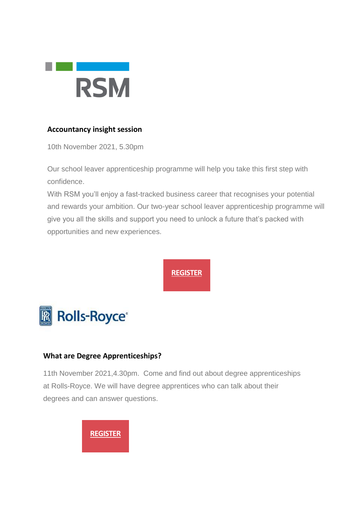

## **Accountancy insight session**

10th November 2021, 5.30pm

Our school leaver apprenticeship programme will help you take this first step with confidence.

With RSM you'll enjoy a fast-tracked business career that recognises your potential and rewards your ambition. Our two-year school leaver apprenticeship programme will give you all the skills and support you need to unlock a future that's packed with opportunities and new experiences.

# **[REGISTER](https://allaboutschoolleavers.us1.list-manage.com/track/click?u=469349e1d4a8f5b2af98ca7f8&id=50004bf76c&e=7fe6bcd068)**



## **What are Degree Apprenticeships?**

11th November 2021,4.30pm. Come and find out about degree apprenticeships at Rolls-Royce. We will have degree apprentices who can talk about their degrees and can answer questions.

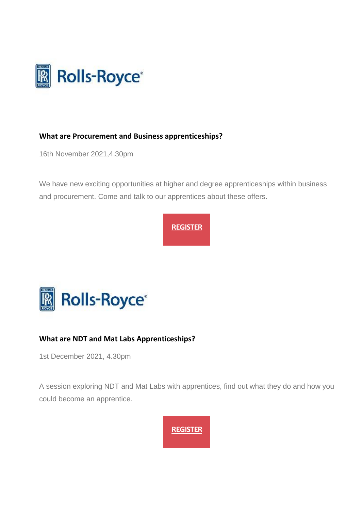

## **What are Procurement and Business apprenticeships?**

16th November 2021,4.30pm

We have new exciting opportunities at higher and degree apprenticeships within business and procurement. Come and talk to our apprentices about these offers.





## **What are NDT and Mat Labs Apprenticeships?**

1st December 2021, 4.30pm

A session exploring NDT and Mat Labs with apprentices, find out what they do and how you could become an apprentice.